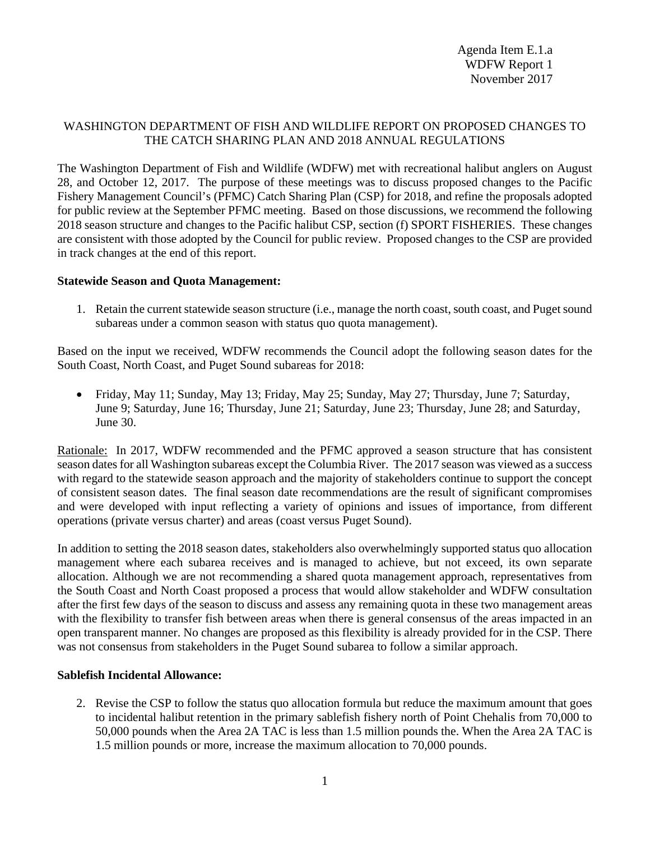## WASHINGTON DEPARTMENT OF FISH AND WILDLIFE REPORT ON PROPOSED CHANGES TO THE CATCH SHARING PLAN AND 2018 ANNUAL REGULATIONS

The Washington Department of Fish and Wildlife (WDFW) met with recreational halibut anglers on August 28, and October 12, 2017. The purpose of these meetings was to discuss proposed changes to the Pacific Fishery Management Council's (PFMC) Catch Sharing Plan (CSP) for 2018, and refine the proposals adopted for public review at the September PFMC meeting. Based on those discussions, we recommend the following 2018 season structure and changes to the Pacific halibut CSP, section (f) SPORT FISHERIES. These changes are consistent with those adopted by the Council for public review. Proposed changes to the CSP are provided in track changes at the end of this report.

### **Statewide Season and Quota Management:**

1. Retain the current statewide season structure (i.e., manage the north coast, south coast, and Puget sound subareas under a common season with status quo quota management).

Based on the input we received, WDFW recommends the Council adopt the following season dates for the South Coast, North Coast, and Puget Sound subareas for 2018:

• Friday, May 11; Sunday, May 13; Friday, May 25; Sunday, May 27; Thursday, June 7; Saturday, June 9; Saturday, June 16; Thursday, June 21; Saturday, June 23; Thursday, June 28; and Saturday, June 30.

Rationale: In 2017, WDFW recommended and the PFMC approved a season structure that has consistent season dates for all Washington subareas except the Columbia River. The 2017 season was viewed as a success with regard to the statewide season approach and the majority of stakeholders continue to support the concept of consistent season dates. The final season date recommendations are the result of significant compromises and were developed with input reflecting a variety of opinions and issues of importance, from different operations (private versus charter) and areas (coast versus Puget Sound).

In addition to setting the 2018 season dates, stakeholders also overwhelmingly supported status quo allocation management where each subarea receives and is managed to achieve, but not exceed, its own separate allocation. Although we are not recommending a shared quota management approach, representatives from the South Coast and North Coast proposed a process that would allow stakeholder and WDFW consultation after the first few days of the season to discuss and assess any remaining quota in these two management areas with the flexibility to transfer fish between areas when there is general consensus of the areas impacted in an open transparent manner. No changes are proposed as this flexibility is already provided for in the CSP. There was not consensus from stakeholders in the Puget Sound subarea to follow a similar approach.

### **Sablefish Incidental Allowance:**

2. Revise the CSP to follow the status quo allocation formula but reduce the maximum amount that goes to incidental halibut retention in the primary sablefish fishery north of Point Chehalis from 70,000 to 50,000 pounds when the Area 2A TAC is less than 1.5 million pounds the. When the Area 2A TAC is 1.5 million pounds or more, increase the maximum allocation to 70,000 pounds.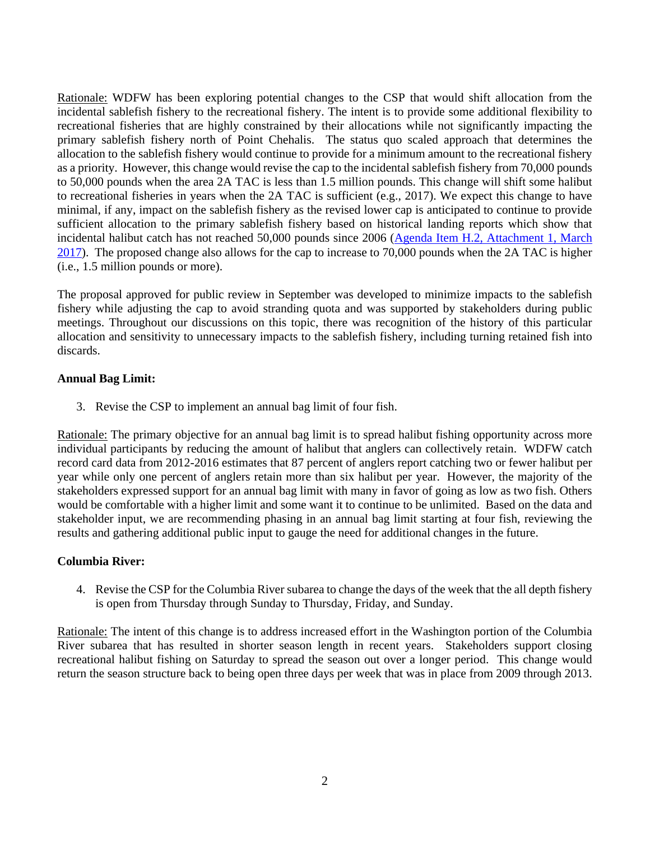Rationale: WDFW has been exploring potential changes to the CSP that would shift allocation from the incidental sablefish fishery to the recreational fishery. The intent is to provide some additional flexibility to recreational fisheries that are highly constrained by their allocations while not significantly impacting the primary sablefish fishery north of Point Chehalis. The status quo scaled approach that determines the allocation to the sablefish fishery would continue to provide for a minimum amount to the recreational fishery as a priority. However, this change would revise the cap to the incidental sablefish fishery from 70,000 pounds to 50,000 pounds when the area 2A TAC is less than 1.5 million pounds. This change will shift some halibut to recreational fisheries in years when the 2A TAC is sufficient (e.g., 2017). We expect this change to have minimal, if any, impact on the sablefish fishery as the revised lower cap is anticipated to continue to provide sufficient allocation to the primary sablefish fishery based on historical landing reports which show that incidental halibut catch has not reached 50,000 pounds since 2006 (Agenda Item H.2, Attachment 1, March [2017\)](https://www.pcouncil.org/wp-content/uploads/2017/02/H2_Att_1_Hal_History_Mar2017BB.pdf). The proposed change also allows for the cap to increase to 70,000 pounds when the 2A TAC is higher (i.e., 1.5 million pounds or more).

The proposal approved for public review in September was developed to minimize impacts to the sablefish fishery while adjusting the cap to avoid stranding quota and was supported by stakeholders during public meetings. Throughout our discussions on this topic, there was recognition of the history of this particular allocation and sensitivity to unnecessary impacts to the sablefish fishery, including turning retained fish into discards.

## **Annual Bag Limit:**

3. Revise the CSP to implement an annual bag limit of four fish.

Rationale: The primary objective for an annual bag limit is to spread halibut fishing opportunity across more individual participants by reducing the amount of halibut that anglers can collectively retain. WDFW catch record card data from 2012-2016 estimates that 87 percent of anglers report catching two or fewer halibut per year while only one percent of anglers retain more than six halibut per year. However, the majority of the stakeholders expressed support for an annual bag limit with many in favor of going as low as two fish. Others would be comfortable with a higher limit and some want it to continue to be unlimited. Based on the data and stakeholder input, we are recommending phasing in an annual bag limit starting at four fish, reviewing the results and gathering additional public input to gauge the need for additional changes in the future.

## **Columbia River:**

4. Revise the CSP for the Columbia River subarea to change the days of the week that the all depth fishery is open from Thursday through Sunday to Thursday, Friday, and Sunday.

Rationale: The intent of this change is to address increased effort in the Washington portion of the Columbia River subarea that has resulted in shorter season length in recent years. Stakeholders support closing recreational halibut fishing on Saturday to spread the season out over a longer period. This change would return the season structure back to being open three days per week that was in place from 2009 through 2013.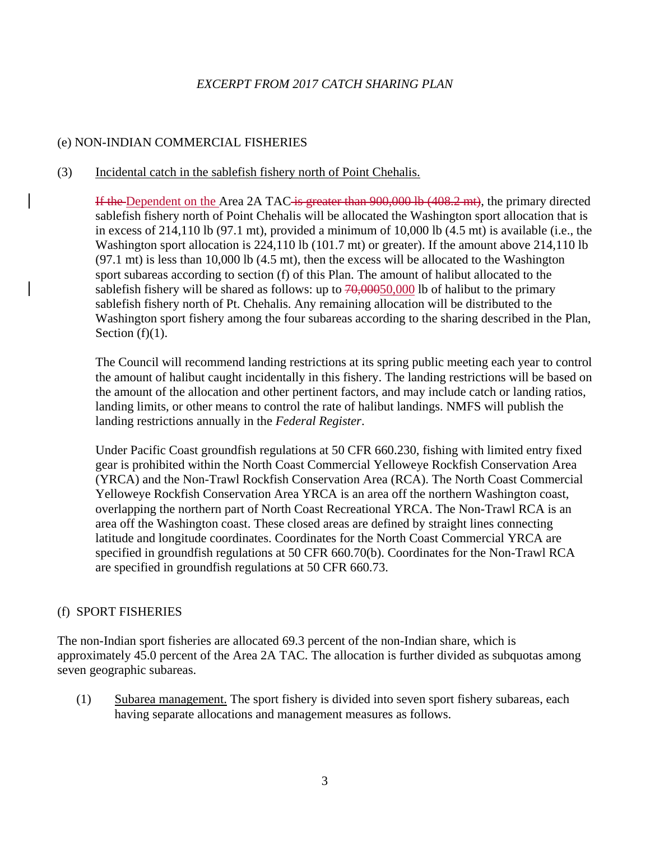# *EXCERPT FROM 2017 CATCH SHARING PLAN*

# (e) NON-INDIAN COMMERCIAL FISHERIES

## (3) Incidental catch in the sablefish fishery north of Point Chehalis.

If the Dependent on the Area 2A TAC is greater than 900,000 lb (408.2 mt), the primary directed sablefish fishery north of Point Chehalis will be allocated the Washington sport allocation that is in excess of 214,110 lb (97.1 mt), provided a minimum of 10,000 lb (4.5 mt) is available (i.e., the Washington sport allocation is 224,110 lb (101.7 mt) or greater). If the amount above 214,110 lb (97.1 mt) is less than 10,000 lb (4.5 mt), then the excess will be allocated to the Washington sport subareas according to section (f) of this Plan. The amount of halibut allocated to the sablefish fishery will be shared as follows: up to  $70,00050,000$  lb of halibut to the primary sablefish fishery north of Pt. Chehalis. Any remaining allocation will be distributed to the Washington sport fishery among the four subareas according to the sharing described in the Plan, Section  $(f)(1)$ .

The Council will recommend landing restrictions at its spring public meeting each year to control the amount of halibut caught incidentally in this fishery. The landing restrictions will be based on the amount of the allocation and other pertinent factors, and may include catch or landing ratios, landing limits, or other means to control the rate of halibut landings. NMFS will publish the landing restrictions annually in the *Federal Register*.

Under Pacific Coast groundfish regulations at 50 CFR 660.230, fishing with limited entry fixed gear is prohibited within the North Coast Commercial Yelloweye Rockfish Conservation Area (YRCA) and the Non-Trawl Rockfish Conservation Area (RCA). The North Coast Commercial Yelloweye Rockfish Conservation Area YRCA is an area off the northern Washington coast, overlapping the northern part of North Coast Recreational YRCA. The Non-Trawl RCA is an area off the Washington coast. These closed areas are defined by straight lines connecting latitude and longitude coordinates. Coordinates for the North Coast Commercial YRCA are specified in groundfish regulations at 50 CFR 660.70(b). Coordinates for the Non-Trawl RCA are specified in groundfish regulations at 50 CFR 660.73.

## (f) SPORT FISHERIES

The non-Indian sport fisheries are allocated 69.3 percent of the non-Indian share, which is approximately 45.0 percent of the Area 2A TAC. The allocation is further divided as subquotas among seven geographic subareas.

(1) Subarea management. The sport fishery is divided into seven sport fishery subareas, each having separate allocations and management measures as follows.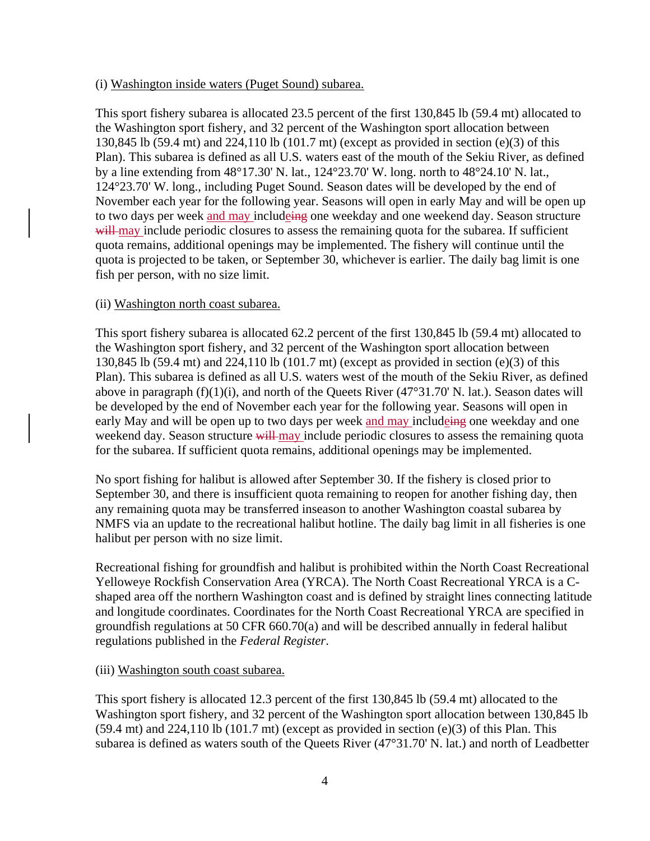### (i) Washington inside waters (Puget Sound) subarea.

This sport fishery subarea is allocated 23.5 percent of the first 130,845 lb (59.4 mt) allocated to the Washington sport fishery, and 32 percent of the Washington sport allocation between 130,845 lb (59.4 mt) and 224,110 lb (101.7 mt) (except as provided in section (e)(3) of this Plan). This subarea is defined as all U.S. waters east of the mouth of the Sekiu River, as defined by a line extending from 48°17.30' N. lat., 124°23.70' W. long. north to 48°24.10' N. lat., 124°23.70' W. long., including Puget Sound. Season dates will be developed by the end of November each year for the following year. Seasons will open in early May and will be open up to two days per week and may includeing one weekday and one weekend day. Season structure will may include periodic closures to assess the remaining quota for the subarea. If sufficient quota remains, additional openings may be implemented. The fishery will continue until the quota is projected to be taken, or September 30, whichever is earlier. The daily bag limit is one fish per person, with no size limit.

### (ii) Washington north coast subarea.

This sport fishery subarea is allocated 62.2 percent of the first 130,845 lb (59.4 mt) allocated to the Washington sport fishery, and 32 percent of the Washington sport allocation between 130,845 lb (59.4 mt) and 224,110 lb (101.7 mt) (except as provided in section (e)(3) of this Plan). This subarea is defined as all U.S. waters west of the mouth of the Sekiu River, as defined above in paragraph  $(f)(1)(i)$ , and north of the Queets River  $(47^{\circ}31.70^{\circ} N)$ . lat.). Season dates will be developed by the end of November each year for the following year. Seasons will open in early May and will be open up to two days per week and may include<del>ing</del> one weekday and one weekend day. Season structure will may include periodic closures to assess the remaining quota for the subarea. If sufficient quota remains, additional openings may be implemented.

No sport fishing for halibut is allowed after September 30. If the fishery is closed prior to September 30, and there is insufficient quota remaining to reopen for another fishing day, then any remaining quota may be transferred inseason to another Washington coastal subarea by NMFS via an update to the recreational halibut hotline. The daily bag limit in all fisheries is one halibut per person with no size limit.

Recreational fishing for groundfish and halibut is prohibited within the North Coast Recreational Yelloweye Rockfish Conservation Area (YRCA). The North Coast Recreational YRCA is a Cshaped area off the northern Washington coast and is defined by straight lines connecting latitude and longitude coordinates. Coordinates for the North Coast Recreational YRCA are specified in groundfish regulations at 50 CFR 660.70(a) and will be described annually in federal halibut regulations published in the *Federal Register*.

### (iii) Washington south coast subarea.

This sport fishery is allocated 12.3 percent of the first 130,845 lb (59.4 mt) allocated to the Washington sport fishery, and 32 percent of the Washington sport allocation between 130,845 lb  $(59.4 \text{ mt})$  and  $224,110 \text{ lb}$   $(101.7 \text{ mt})$  (except as provided in section  $(e)(3)$  of this Plan. This subarea is defined as waters south of the Queets River (47°31.70' N. lat.) and north of Leadbetter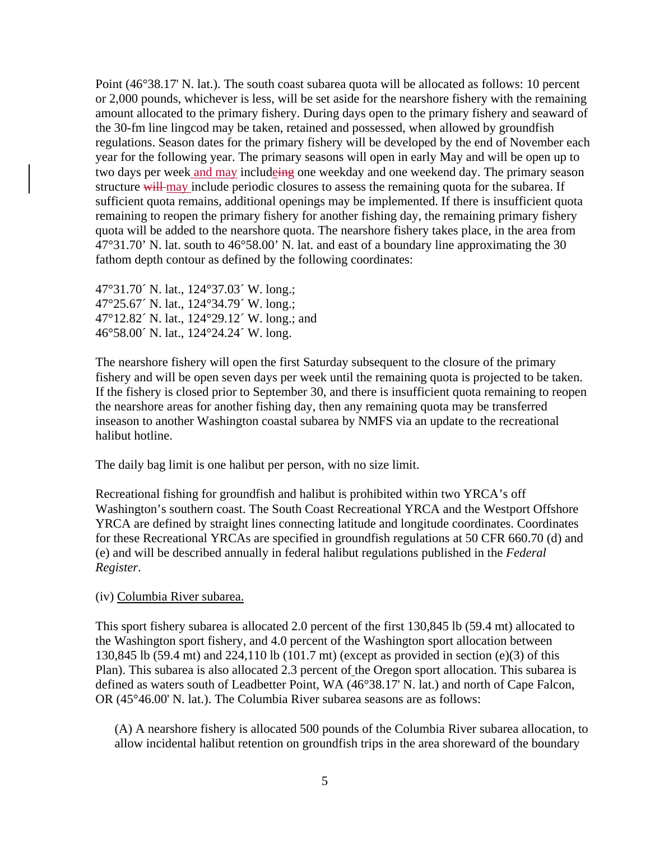Point (46°38.17' N. lat.). The south coast subarea quota will be allocated as follows: 10 percent or 2,000 pounds, whichever is less, will be set aside for the nearshore fishery with the remaining amount allocated to the primary fishery. During days open to the primary fishery and seaward of the 30-fm line lingcod may be taken, retained and possessed, when allowed by groundfish regulations. Season dates for the primary fishery will be developed by the end of November each year for the following year. The primary seasons will open in early May and will be open up to two days per week and may includeing one weekday and one weekend day. The primary season structure will may include periodic closures to assess the remaining quota for the subarea. If sufficient quota remains, additional openings may be implemented. If there is insufficient quota remaining to reopen the primary fishery for another fishing day, the remaining primary fishery quota will be added to the nearshore quota. The nearshore fishery takes place, in the area from 47°31.70' N. lat. south to 46°58.00' N. lat. and east of a boundary line approximating the 30 fathom depth contour as defined by the following coordinates:

47°31.70´ N. lat., 124°37.03´ W. long.; 47°25.67´ N. lat., 124°34.79´ W. long.; 47°12.82´ N. lat., 124°29.12´ W. long.; and 46°58.00´ N. lat., 124°24.24´ W. long.

The nearshore fishery will open the first Saturday subsequent to the closure of the primary fishery and will be open seven days per week until the remaining quota is projected to be taken. If the fishery is closed prior to September 30, and there is insufficient quota remaining to reopen the nearshore areas for another fishing day, then any remaining quota may be transferred inseason to another Washington coastal subarea by NMFS via an update to the recreational halibut hotline.

The daily bag limit is one halibut per person, with no size limit.

Recreational fishing for groundfish and halibut is prohibited within two YRCA's off Washington's southern coast. The South Coast Recreational YRCA and the Westport Offshore YRCA are defined by straight lines connecting latitude and longitude coordinates. Coordinates for these Recreational YRCAs are specified in groundfish regulations at 50 CFR 660.70 (d) and (e) and will be described annually in federal halibut regulations published in the *Federal Register*.

## (iv) Columbia River subarea.

This sport fishery subarea is allocated 2.0 percent of the first 130,845 lb (59.4 mt) allocated to the Washington sport fishery, and 4.0 percent of the Washington sport allocation between 130,845 lb (59.4 mt) and 224,110 lb (101.7 mt) (except as provided in section (e)(3) of this Plan). This subarea is also allocated 2.3 percent of the Oregon sport allocation. This subarea is defined as waters south of Leadbetter Point, WA (46°38.17' N. lat.) and north of Cape Falcon, OR (45°46.00' N. lat.). The Columbia River subarea seasons are as follows:

(A) A nearshore fishery is allocated 500 pounds of the Columbia River subarea allocation, to allow incidental halibut retention on groundfish trips in the area shoreward of the boundary